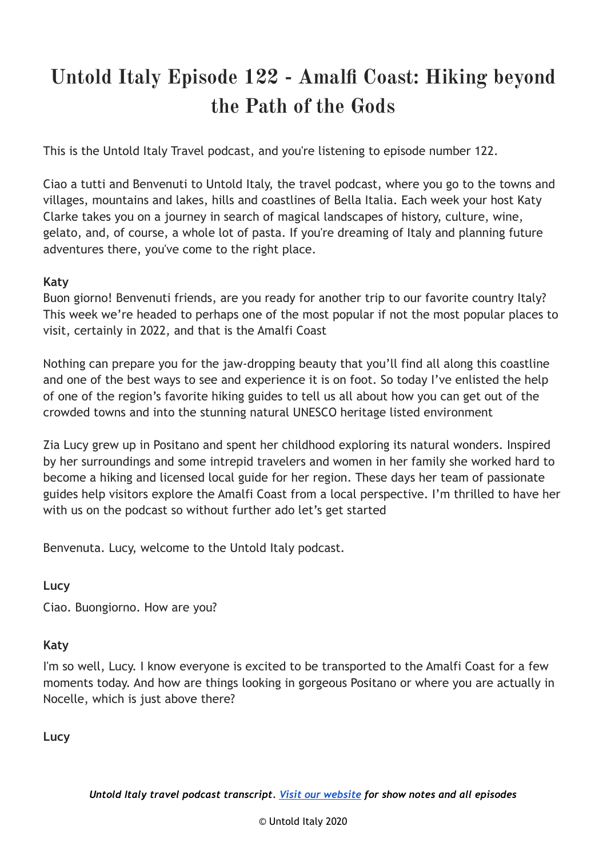# **Untold Italy Episode 122 - Amalfi Coast: Hiking beyond the Path of the Gods**

This is the Untold Italy Travel podcast, and you're listening to episode number 122.

Ciao a tutti and Benvenuti to Untold Italy, the travel podcast, where you go to the towns and villages, mountains and lakes, hills and coastlines of Bella Italia. Each week your host Katy Clarke takes you on a journey in search of magical landscapes of history, culture, wine, gelato, and, of course, a whole lot of pasta. If you're dreaming of Italy and planning future adventures there, you've come to the right place.

#### **Katy**

Buon giorno! Benvenuti friends, are you ready for another trip to our favorite country Italy? This week we're headed to perhaps one of the most popular if not the most popular places to visit, certainly in 2022, and that is the Amalfi Coast

Nothing can prepare you for the jaw-dropping beauty that you'll find all along this coastline and one of the best ways to see and experience it is on foot. So today I've enlisted the help of one of the region's favorite hiking guides to tell us all about how you can get out of the crowded towns and into the stunning natural UNESCO heritage listed environment

Zia Lucy grew up in Positano and spent her childhood exploring its natural wonders. Inspired by her surroundings and some intrepid travelers and women in her family she worked hard to become a hiking and licensed local guide for her region. These days her team of passionate guides help visitors explore the Amalfi Coast from a local perspective. I'm thrilled to have her with us on the podcast so without further ado let's get started

Benvenuta. Lucy, welcome to the Untold Italy podcast.

**Lucy**

Ciao. Buongiorno. How are you?

#### **Katy**

I'm so well, Lucy. I know everyone is excited to be transported to the Amalfi Coast for a few moments today. And how are things looking in gorgeous Positano or where you are actually in Nocelle, which is just above there?

**Lucy**

*Untold Italy travel podcast transcript. Visit our [website](https://untolditaly.com/) for show notes and all episodes*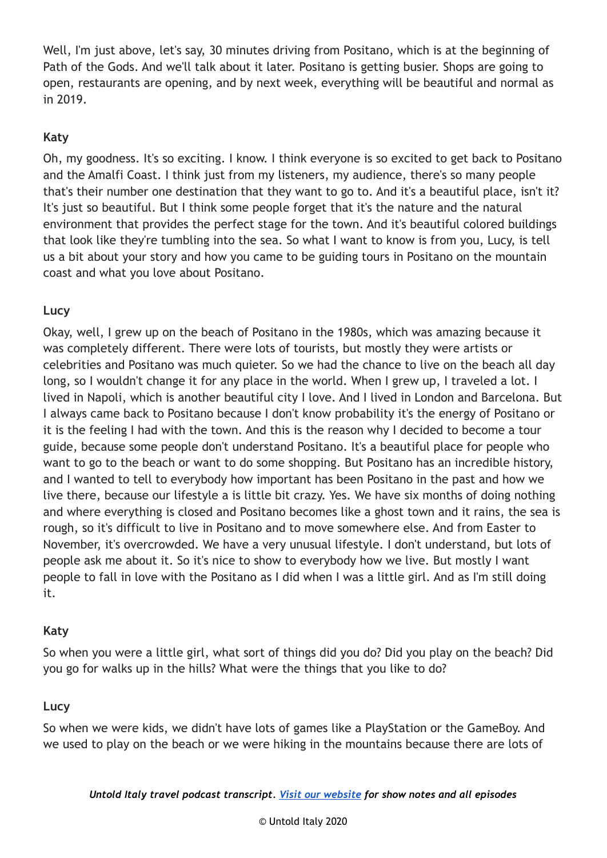Well, I'm just above, let's say, 30 minutes driving from Positano, which is at the beginning of Path of the Gods. And we'll talk about it later. Positano is getting busier. Shops are going to open, restaurants are opening, and by next week, everything will be beautiful and normal as in 2019.

# **Katy**

Oh, my goodness. It's so exciting. I know. I think everyone is so excited to get back to Positano and the Amalfi Coast. I think just from my listeners, my audience, there's so many people that's their number one destination that they want to go to. And it's a beautiful place, isn't it? It's just so beautiful. But I think some people forget that it's the nature and the natural environment that provides the perfect stage for the town. And it's beautiful colored buildings that look like they're tumbling into the sea. So what I want to know is from you, Lucy, is tell us a bit about your story and how you came to be guiding tours in Positano on the mountain coast and what you love about Positano.

# **Lucy**

Okay, well, I grew up on the beach of Positano in the 1980s, which was amazing because it was completely different. There were lots of tourists, but mostly they were artists or celebrities and Positano was much quieter. So we had the chance to live on the beach all day long, so I wouldn't change it for any place in the world. When I grew up, I traveled a lot. I lived in Napoli, which is another beautiful city I love. And I lived in London and Barcelona. But I always came back to Positano because I don't know probability it's the energy of Positano or it is the feeling I had with the town. And this is the reason why I decided to become a tour guide, because some people don't understand Positano. It's a beautiful place for people who want to go to the beach or want to do some shopping. But Positano has an incredible history, and I wanted to tell to everybody how important has been Positano in the past and how we live there, because our lifestyle a is little bit crazy. Yes. We have six months of doing nothing and where everything is closed and Positano becomes like a ghost town and it rains, the sea is rough, so it's difficult to live in Positano and to move somewhere else. And from Easter to November, it's overcrowded. We have a very unusual lifestyle. I don't understand, but lots of people ask me about it. So it's nice to show to everybody how we live. But mostly I want people to fall in love with the Positano as I did when I was a little girl. And as I'm still doing it.

#### **Katy**

So when you were a little girl, what sort of things did you do? Did you play on the beach? Did you go for walks up in the hills? What were the things that you like to do?

# **Lucy**

So when we were kids, we didn't have lots of games like a PlayStation or the GameBoy. And we used to play on the beach or we were hiking in the mountains because there are lots of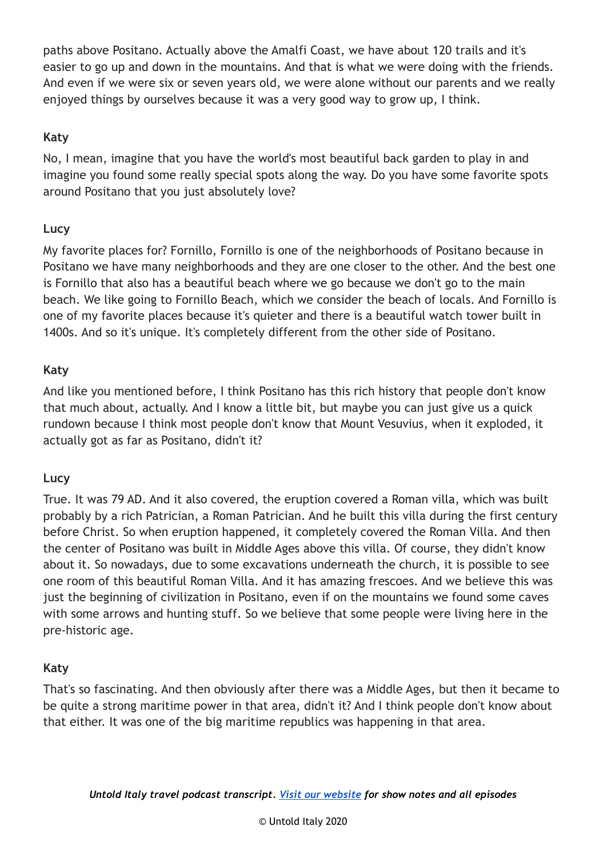paths above Positano. Actually above the Amalfi Coast, we have about 120 trails and it's easier to go up and down in the mountains. And that is what we were doing with the friends. And even if we were six or seven years old, we were alone without our parents and we really enjoyed things by ourselves because it was a very good way to grow up, I think.

# **Katy**

No, I mean, imagine that you have the world's most beautiful back garden to play in and imagine you found some really special spots along the way. Do you have some favorite spots around Positano that you just absolutely love?

#### **Lucy**

My favorite places for? Fornillo, Fornillo is one of the neighborhoods of Positano because in Positano we have many neighborhoods and they are one closer to the other. And the best one is Fornillo that also has a beautiful beach where we go because we don't go to the main beach. We like going to Fornillo Beach, which we consider the beach of locals. And Fornillo is one of my favorite places because it's quieter and there is a beautiful watch tower built in 1400s. And so it's unique. It's completely different from the other side of Positano.

#### **Katy**

And like you mentioned before, I think Positano has this rich history that people don't know that much about, actually. And I know a little bit, but maybe you can just give us a quick rundown because I think most people don't know that Mount Vesuvius, when it exploded, it actually got as far as Positano, didn't it?

#### **Lucy**

True. It was 79 AD. And it also covered, the eruption covered a Roman villa, which was built probably by a rich Patrician, a Roman Patrician. And he built this villa during the first century before Christ. So when eruption happened, it completely covered the Roman Villa. And then the center of Positano was built in Middle Ages above this villa. Of course, they didn't know about it. So nowadays, due to some excavations underneath the church, it is possible to see one room of this beautiful Roman Villa. And it has amazing frescoes. And we believe this was just the beginning of civilization in Positano, even if on the mountains we found some caves with some arrows and hunting stuff. So we believe that some people were living here in the pre-historic age.

#### **Katy**

That's so fascinating. And then obviously after there was a Middle Ages, but then it became to be quite a strong maritime power in that area, didn't it? And I think people don't know about that either. It was one of the big maritime republics was happening in that area.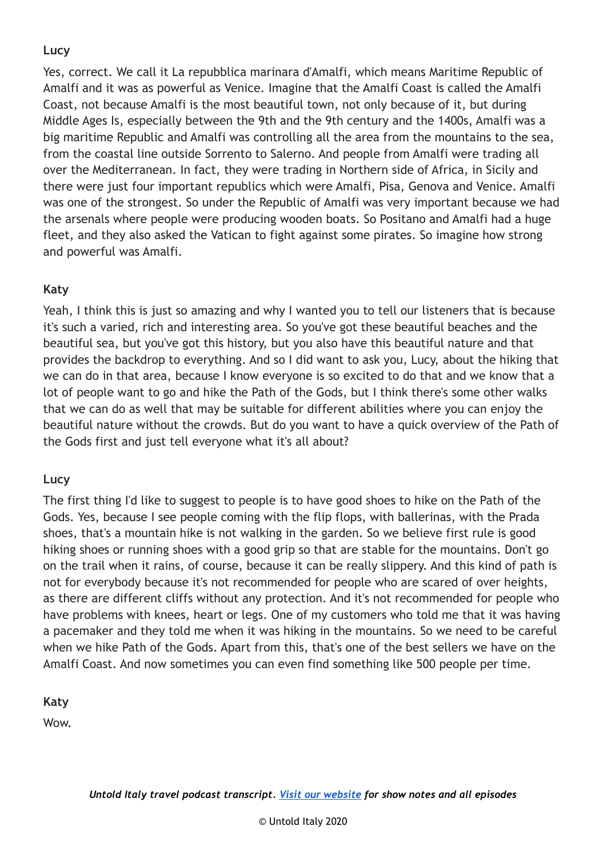Yes, correct. We call it La repubblica marinara d'Amalfi, which means Maritime Republic of Amalfi and it was as powerful as Venice. Imagine that the Amalfi Coast is called the Amalfi Coast, not because Amalfi is the most beautiful town, not only because of it, but during Middle Ages Is, especially between the 9th and the 9th century and the 1400s, Amalfi was a big maritime Republic and Amalfi was controlling all the area from the mountains to the sea, from the coastal line outside Sorrento to Salerno. And people from Amalfi were trading all over the Mediterranean. In fact, they were trading in Northern side of Africa, in Sicily and there were just four important republics which were Amalfi, Pisa, Genova and Venice. Amalfi was one of the strongest. So under the Republic of Amalfi was very important because we had the arsenals where people were producing wooden boats. So Positano and Amalfi had a huge fleet, and they also asked the Vatican to fight against some pirates. So imagine how strong and powerful was Amalfi.

# **Katy**

Yeah, I think this is just so amazing and why I wanted you to tell our listeners that is because it's such a varied, rich and interesting area. So you've got these beautiful beaches and the beautiful sea, but you've got this history, but you also have this beautiful nature and that provides the backdrop to everything. And so I did want to ask you, Lucy, about the hiking that we can do in that area, because I know everyone is so excited to do that and we know that a lot of people want to go and hike the Path of the Gods, but I think there's some other walks that we can do as well that may be suitable for different abilities where you can enjoy the beautiful nature without the crowds. But do you want to have a quick overview of the Path of the Gods first and just tell everyone what it's all about?

# **Lucy**

The first thing I'd like to suggest to people is to have good shoes to hike on the Path of the Gods. Yes, because I see people coming with the flip flops, with ballerinas, with the Prada shoes, that's a mountain hike is not walking in the garden. So we believe first rule is good hiking shoes or running shoes with a good grip so that are stable for the mountains. Don't go on the trail when it rains, of course, because it can be really slippery. And this kind of path is not for everybody because it's not recommended for people who are scared of over heights, as there are different cliffs without any protection. And it's not recommended for people who have problems with knees, heart or legs. One of my customers who told me that it was having a pacemaker and they told me when it was hiking in the mountains. So we need to be careful when we hike Path of the Gods. Apart from this, that's one of the best sellers we have on the Amalfi Coast. And now sometimes you can even find something like 500 people per time.

**Katy**

Wow.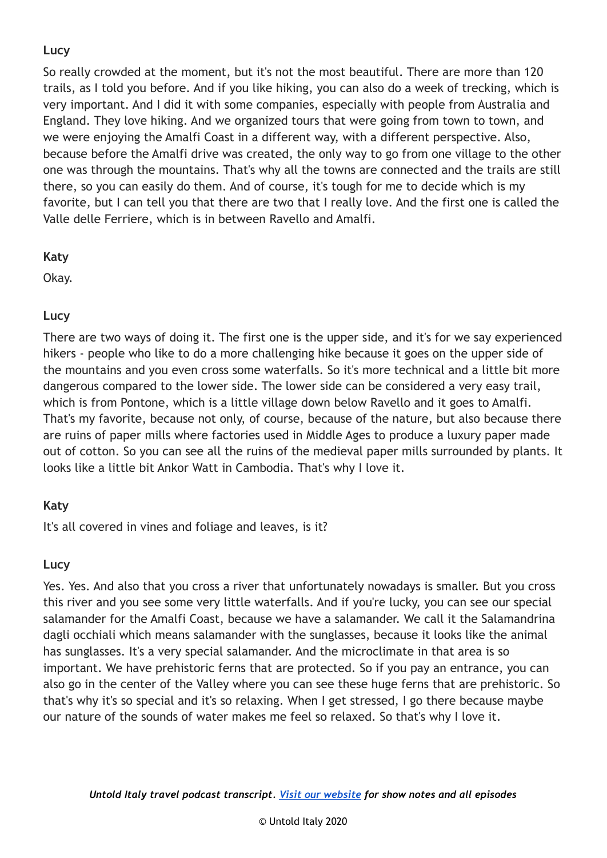So really crowded at the moment, but it's not the most beautiful. There are more than 120 trails, as I told you before. And if you like hiking, you can also do a week of trecking, which is very important. And I did it with some companies, especially with people from Australia and England. They love hiking. And we organized tours that were going from town to town, and we were enjoying the Amalfi Coast in a different way, with a different perspective. Also, because before the Amalfi drive was created, the only way to go from one village to the other one was through the mountains. That's why all the towns are connected and the trails are still there, so you can easily do them. And of course, it's tough for me to decide which is my favorite, but I can tell you that there are two that I really love. And the first one is called the Valle delle Ferriere, which is in between Ravello and Amalfi.

# **Katy**

Okay.

# **Lucy**

There are two ways of doing it. The first one is the upper side, and it's for we say experienced hikers - people who like to do a more challenging hike because it goes on the upper side of the mountains and you even cross some waterfalls. So it's more technical and a little bit more dangerous compared to the lower side. The lower side can be considered a very easy trail, which is from Pontone, which is a little village down below Ravello and it goes to Amalfi. That's my favorite, because not only, of course, because of the nature, but also because there are ruins of paper mills where factories used in Middle Ages to produce a luxury paper made out of cotton. So you can see all the ruins of the medieval paper mills surrounded by plants. It looks like a little bit Ankor Watt in Cambodia. That's why I love it.

# **Katy**

It's all covered in vines and foliage and leaves, is it?

# **Lucy**

Yes. Yes. And also that you cross a river that unfortunately nowadays is smaller. But you cross this river and you see some very little waterfalls. And if you're lucky, you can see our special salamander for the Amalfi Coast, because we have a salamander. We call it the Salamandrina dagli occhiali which means salamander with the sunglasses, because it looks like the animal has sunglasses. It's a very special salamander. And the microclimate in that area is so important. We have prehistoric ferns that are protected. So if you pay an entrance, you can also go in the center of the Valley where you can see these huge ferns that are prehistoric. So that's why it's so special and it's so relaxing. When I get stressed, I go there because maybe our nature of the sounds of water makes me feel so relaxed. So that's why I love it.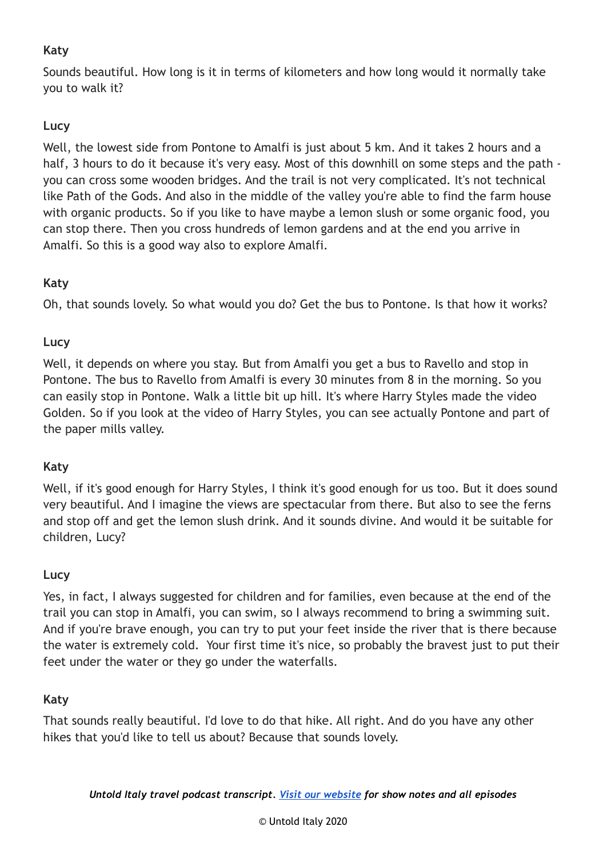# **Katy**

Sounds beautiful. How long is it in terms of kilometers and how long would it normally take you to walk it?

# **Lucy**

Well, the lowest side from Pontone to Amalfi is just about 5 km. And it takes 2 hours and a half, 3 hours to do it because it's very easy. Most of this downhill on some steps and the path you can cross some wooden bridges. And the trail is not very complicated. It's not technical like Path of the Gods. And also in the middle of the valley you're able to find the farm house with organic products. So if you like to have maybe a lemon slush or some organic food, you can stop there. Then you cross hundreds of lemon gardens and at the end you arrive in Amalfi. So this is a good way also to explore Amalfi.

# **Katy**

Oh, that sounds lovely. So what would you do? Get the bus to Pontone. Is that how it works?

# **Lucy**

Well, it depends on where you stay. But from Amalfi you get a bus to Ravello and stop in Pontone. The bus to Ravello from Amalfi is every 30 minutes from 8 in the morning. So you can easily stop in Pontone. Walk a little bit up hill. It's where Harry Styles made the video Golden. So if you look at the video of Harry Styles, you can see actually Pontone and part of the paper mills valley.

# **Katy**

Well, if it's good enough for Harry Styles, I think it's good enough for us too. But it does sound very beautiful. And I imagine the views are spectacular from there. But also to see the ferns and stop off and get the lemon slush drink. And it sounds divine. And would it be suitable for children, Lucy?

# **Lucy**

Yes, in fact, I always suggested for children and for families, even because at the end of the trail you can stop in Amalfi, you can swim, so I always recommend to bring a swimming suit. And if you're brave enough, you can try to put your feet inside the river that is there because the water is extremely cold. Your first time it's nice, so probably the bravest just to put their feet under the water or they go under the waterfalls.

# **Katy**

That sounds really beautiful. I'd love to do that hike. All right. And do you have any other hikes that you'd like to tell us about? Because that sounds lovely.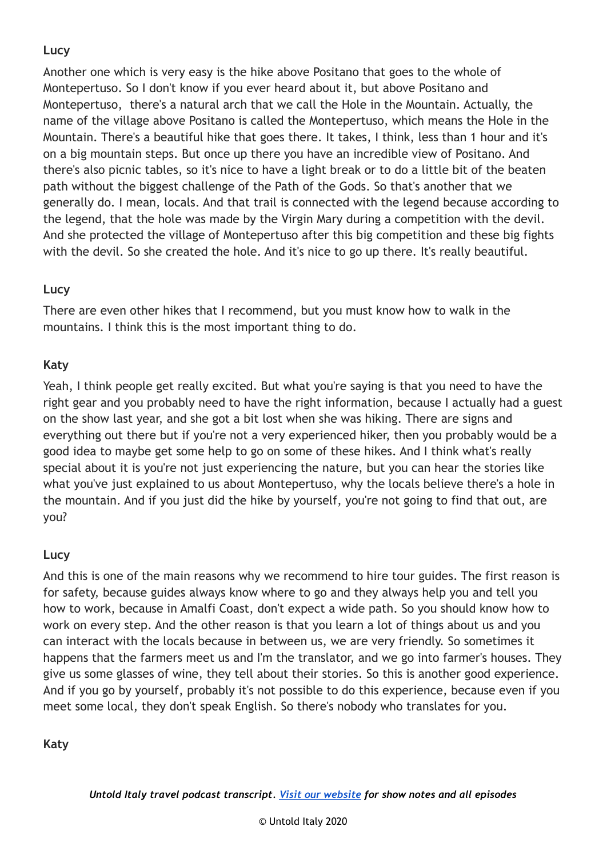Another one which is very easy is the hike above Positano that goes to the whole of Montepertuso. So I don't know if you ever heard about it, but above Positano and Montepertuso, there's a natural arch that we call the Hole in the Mountain. Actually, the name of the village above Positano is called the Montepertuso, which means the Hole in the Mountain. There's a beautiful hike that goes there. It takes, I think, less than 1 hour and it's on a big mountain steps. But once up there you have an incredible view of Positano. And there's also picnic tables, so it's nice to have a light break or to do a little bit of the beaten path without the biggest challenge of the Path of the Gods. So that's another that we generally do. I mean, locals. And that trail is connected with the legend because according to the legend, that the hole was made by the Virgin Mary during a competition with the devil. And she protected the village of Montepertuso after this big competition and these big fights with the devil. So she created the hole. And it's nice to go up there. It's really beautiful.

# **Lucy**

There are even other hikes that I recommend, but you must know how to walk in the mountains. I think this is the most important thing to do.

# **Katy**

Yeah, I think people get really excited. But what you're saying is that you need to have the right gear and you probably need to have the right information, because I actually had a guest on the show last year, and she got a bit lost when she was hiking. There are signs and everything out there but if you're not a very experienced hiker, then you probably would be a good idea to maybe get some help to go on some of these hikes. And I think what's really special about it is you're not just experiencing the nature, but you can hear the stories like what you've just explained to us about Montepertuso, why the locals believe there's a hole in the mountain. And if you just did the hike by yourself, you're not going to find that out, are you?

# **Lucy**

And this is one of the main reasons why we recommend to hire tour guides. The first reason is for safety, because guides always know where to go and they always help you and tell you how to work, because in Amalfi Coast, don't expect a wide path. So you should know how to work on every step. And the other reason is that you learn a lot of things about us and you can interact with the locals because in between us, we are very friendly. So sometimes it happens that the farmers meet us and I'm the translator, and we go into farmer's houses. They give us some glasses of wine, they tell about their stories. So this is another good experience. And if you go by yourself, probably it's not possible to do this experience, because even if you meet some local, they don't speak English. So there's nobody who translates for you.

# **Katy**

*Untold Italy travel podcast transcript. Visit our [website](https://untolditaly.com/) for show notes and all episodes*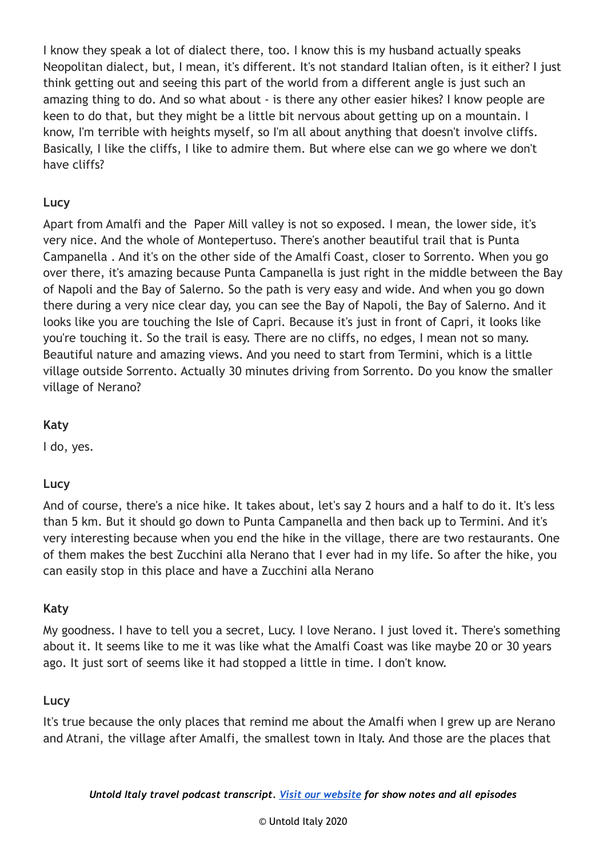I know they speak a lot of dialect there, too. I know this is my husband actually speaks Neopolitan dialect, but, I mean, it's different. It's not standard Italian often, is it either? I just think getting out and seeing this part of the world from a different angle is just such an amazing thing to do. And so what about - is there any other easier hikes? I know people are keen to do that, but they might be a little bit nervous about getting up on a mountain. I know, I'm terrible with heights myself, so I'm all about anything that doesn't involve cliffs. Basically, I like the cliffs, I like to admire them. But where else can we go where we don't have cliffs?

# **Lucy**

Apart from Amalfi and the Paper Mill valley is not so exposed. I mean, the lower side, it's very nice. And the whole of Montepertuso. There's another beautiful trail that is Punta Campanella . And it's on the other side of the Amalfi Coast, closer to Sorrento. When you go over there, it's amazing because Punta Campanella is just right in the middle between the Bay of Napoli and the Bay of Salerno. So the path is very easy and wide. And when you go down there during a very nice clear day, you can see the Bay of Napoli, the Bay of Salerno. And it looks like you are touching the Isle of Capri. Because it's just in front of Capri, it looks like you're touching it. So the trail is easy. There are no cliffs, no edges, I mean not so many. Beautiful nature and amazing views. And you need to start from Termini, which is a little village outside Sorrento. Actually 30 minutes driving from Sorrento. Do you know the smaller village of Nerano?

#### **Katy**

I do, yes.

# **Lucy**

And of course, there's a nice hike. It takes about, let's say 2 hours and a half to do it. It's less than 5 km. But it should go down to Punta Campanella and then back up to Termini. And it's very interesting because when you end the hike in the village, there are two restaurants. One of them makes the best Zucchini alla Nerano that I ever had in my life. So after the hike, you can easily stop in this place and have a Zucchini alla Nerano

#### **Katy**

My goodness. I have to tell you a secret, Lucy. I love Nerano. I just loved it. There's something about it. It seems like to me it was like what the Amalfi Coast was like maybe 20 or 30 years ago. It just sort of seems like it had stopped a little in time. I don't know.

#### **Lucy**

It's true because the only places that remind me about the Amalfi when I grew up are Nerano and Atrani, the village after Amalfi, the smallest town in Italy. And those are the places that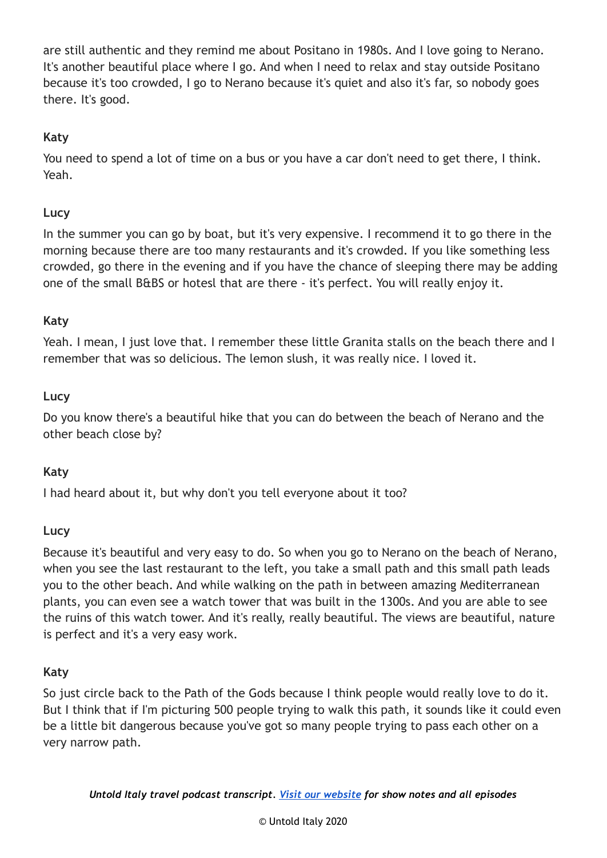are still authentic and they remind me about Positano in 1980s. And I love going to Nerano. It's another beautiful place where I go. And when I need to relax and stay outside Positano because it's too crowded, I go to Nerano because it's quiet and also it's far, so nobody goes there. It's good.

### **Katy**

You need to spend a lot of time on a bus or you have a car don't need to get there, I think. Yeah.

#### **Lucy**

In the summer you can go by boat, but it's very expensive. I recommend it to go there in the morning because there are too many restaurants and it's crowded. If you like something less crowded, go there in the evening and if you have the chance of sleeping there may be adding one of the small B&BS or hotesl that are there - it's perfect. You will really enjoy it.

#### **Katy**

Yeah. I mean, I just love that. I remember these little Granita stalls on the beach there and I remember that was so delicious. The lemon slush, it was really nice. I loved it.

#### **Lucy**

Do you know there's a beautiful hike that you can do between the beach of Nerano and the other beach close by?

#### **Katy**

I had heard about it, but why don't you tell everyone about it too?

#### **Lucy**

Because it's beautiful and very easy to do. So when you go to Nerano on the beach of Nerano, when you see the last restaurant to the left, you take a small path and this small path leads you to the other beach. And while walking on the path in between amazing Mediterranean plants, you can even see a watch tower that was built in the 1300s. And you are able to see the ruins of this watch tower. And it's really, really beautiful. The views are beautiful, nature is perfect and it's a very easy work.

#### **Katy**

So just circle back to the Path of the Gods because I think people would really love to do it. But I think that if I'm picturing 500 people trying to walk this path, it sounds like it could even be a little bit dangerous because you've got so many people trying to pass each other on a very narrow path.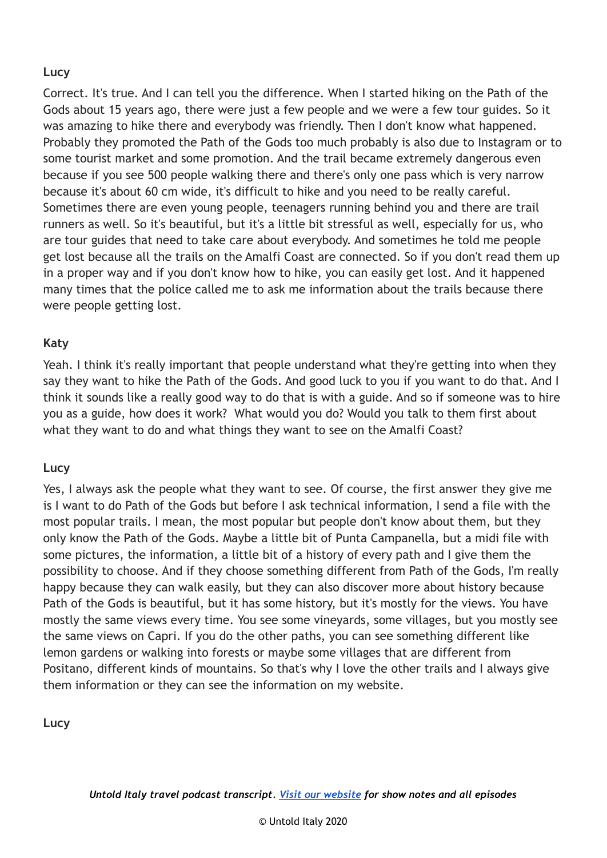Correct. It's true. And I can tell you the difference. When I started hiking on the Path of the Gods about 15 years ago, there were just a few people and we were a few tour guides. So it was amazing to hike there and everybody was friendly. Then I don't know what happened. Probably they promoted the Path of the Gods too much probably is also due to Instagram or to some tourist market and some promotion. And the trail became extremely dangerous even because if you see 500 people walking there and there's only one pass which is very narrow because it's about 60 cm wide, it's difficult to hike and you need to be really careful. Sometimes there are even young people, teenagers running behind you and there are trail runners as well. So it's beautiful, but it's a little bit stressful as well, especially for us, who are tour guides that need to take care about everybody. And sometimes he told me people get lost because all the trails on the Amalfi Coast are connected. So if you don't read them up in a proper way and if you don't know how to hike, you can easily get lost. And it happened many times that the police called me to ask me information about the trails because there were people getting lost.

#### **Katy**

Yeah. I think it's really important that people understand what they're getting into when they say they want to hike the Path of the Gods. And good luck to you if you want to do that. And I think it sounds like a really good way to do that is with a guide. And so if someone was to hire you as a guide, how does it work? What would you do? Would you talk to them first about what they want to do and what things they want to see on the Amalfi Coast?

#### **Lucy**

Yes, I always ask the people what they want to see. Of course, the first answer they give me is I want to do Path of the Gods but before I ask technical information, I send a file with the most popular trails. I mean, the most popular but people don't know about them, but they only know the Path of the Gods. Maybe a little bit of Punta Campanella, but a midi file with some pictures, the information, a little bit of a history of every path and I give them the possibility to choose. And if they choose something different from Path of the Gods, I'm really happy because they can walk easily, but they can also discover more about history because Path of the Gods is beautiful, but it has some history, but it's mostly for the views. You have mostly the same views every time. You see some vineyards, some villages, but you mostly see the same views on Capri. If you do the other paths, you can see something different like lemon gardens or walking into forests or maybe some villages that are different from Positano, different kinds of mountains. So that's why I love the other trails and I always give them information or they can see the information on my website.

**Lucy**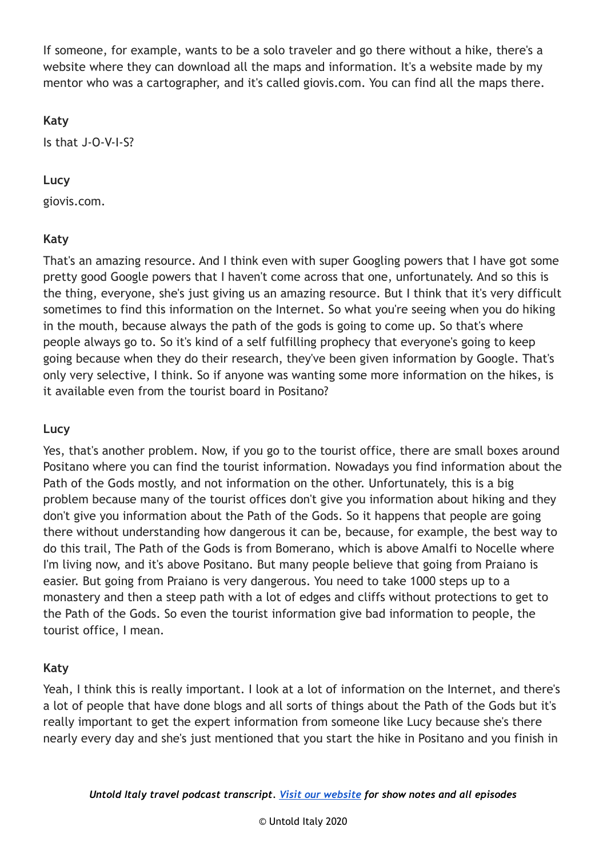If someone, for example, wants to be a solo traveler and go there without a hike, there's a website where they can download all the maps and information. It's a website made by my mentor who was a cartographer, and it's called giovis.com. You can find all the maps there.

#### **Katy**

Is that J-O-V-I-S?

#### **Lucy**

giovis.com.

# **Katy**

That's an amazing resource. And I think even with super Googling powers that I have got some pretty good Google powers that I haven't come across that one, unfortunately. And so this is the thing, everyone, she's just giving us an amazing resource. But I think that it's very difficult sometimes to find this information on the Internet. So what you're seeing when you do hiking in the mouth, because always the path of the gods is going to come up. So that's where people always go to. So it's kind of a self fulfilling prophecy that everyone's going to keep going because when they do their research, they've been given information by Google. That's only very selective, I think. So if anyone was wanting some more information on the hikes, is it available even from the tourist board in Positano?

# **Lucy**

Yes, that's another problem. Now, if you go to the tourist office, there are small boxes around Positano where you can find the tourist information. Nowadays you find information about the Path of the Gods mostly, and not information on the other. Unfortunately, this is a big problem because many of the tourist offices don't give you information about hiking and they don't give you information about the Path of the Gods. So it happens that people are going there without understanding how dangerous it can be, because, for example, the best way to do this trail, The Path of the Gods is from Bomerano, which is above Amalfi to Nocelle where I'm living now, and it's above Positano. But many people believe that going from Praiano is easier. But going from Praiano is very dangerous. You need to take 1000 steps up to a monastery and then a steep path with a lot of edges and cliffs without protections to get to the Path of the Gods. So even the tourist information give bad information to people, the tourist office, I mean.

# **Katy**

Yeah, I think this is really important. I look at a lot of information on the Internet, and there's a lot of people that have done blogs and all sorts of things about the Path of the Gods but it's really important to get the expert information from someone like Lucy because she's there nearly every day and she's just mentioned that you start the hike in Positano and you finish in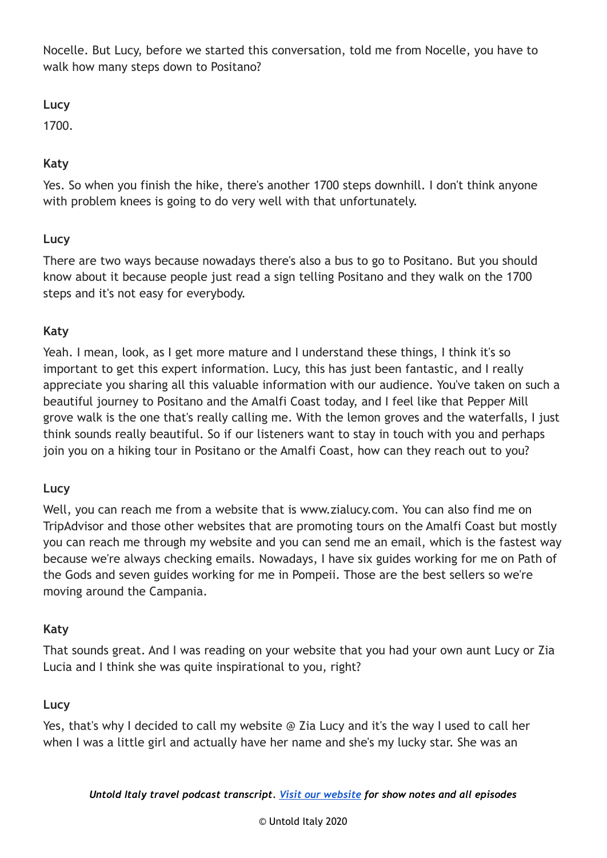Nocelle. But Lucy, before we started this conversation, told me from Nocelle, you have to walk how many steps down to Positano?

**Lucy**

1700.

# **Katy**

Yes. So when you finish the hike, there's another 1700 steps downhill. I don't think anyone with problem knees is going to do very well with that unfortunately.

# **Lucy**

There are two ways because nowadays there's also a bus to go to Positano. But you should know about it because people just read a sign telling Positano and they walk on the 1700 steps and it's not easy for everybody.

# **Katy**

Yeah. I mean, look, as I get more mature and I understand these things, I think it's so important to get this expert information. Lucy, this has just been fantastic, and I really appreciate you sharing all this valuable information with our audience. You've taken on such a beautiful journey to Positano and the Amalfi Coast today, and I feel like that Pepper Mill grove walk is the one that's really calling me. With the lemon groves and the waterfalls, I just think sounds really beautiful. So if our listeners want to stay in touch with you and perhaps join you on a hiking tour in Positano or the Amalfi Coast, how can they reach out to you?

# **Lucy**

Well, you can reach me from a website that is www.zialucy.com. You can also find me on TripAdvisor and those other websites that are promoting tours on the Amalfi Coast but mostly you can reach me through my website and you can send me an email, which is the fastest way because we're always checking emails. Nowadays, I have six guides working for me on Path of the Gods and seven guides working for me in Pompeii. Those are the best sellers so we're moving around the Campania.

#### **Katy**

That sounds great. And I was reading on your website that you had your own aunt Lucy or Zia Lucia and I think she was quite inspirational to you, right?

# **Lucy**

Yes, that's why I decided to call my website @ Zia Lucy and it's the way I used to call her when I was a little girl and actually have her name and she's my lucky star. She was an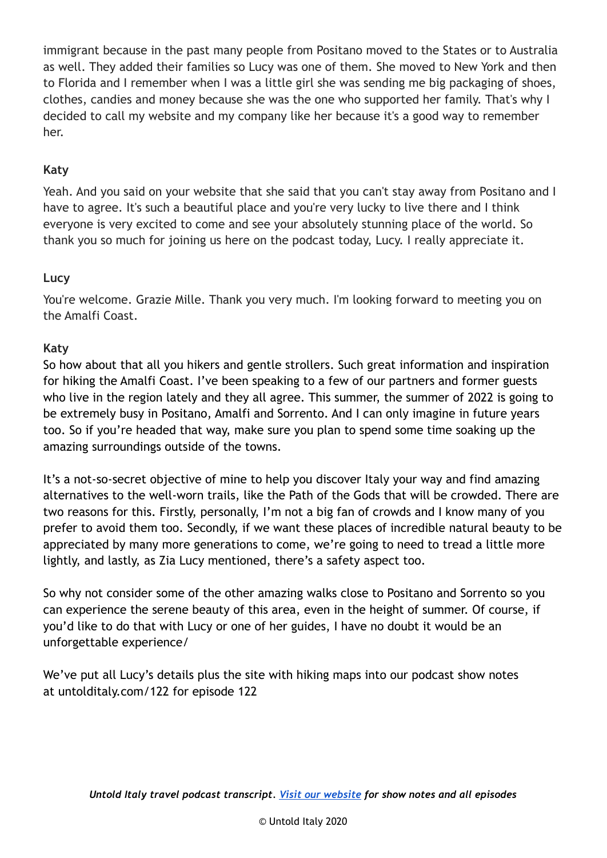immigrant because in the past many people from Positano moved to the States or to Australia as well. They added their families so Lucy was one of them. She moved to New York and then to Florida and I remember when I was a little girl she was sending me big packaging of shoes, clothes, candies and money because she was the one who supported her family. That's why I decided to call my website and my company like her because it's a good way to remember her.

# **Katy**

Yeah. And you said on your website that she said that you can't stay away from Positano and I have to agree. It's such a beautiful place and you're very lucky to live there and I think everyone is very excited to come and see your absolutely stunning place of the world. So thank you so much for joining us here on the podcast today, Lucy. I really appreciate it.

#### **Lucy**

You're welcome. Grazie Mille. Thank you very much. I'm looking forward to meeting you on the Amalfi Coast.

#### **Katy**

So how about that all you hikers and gentle strollers. Such great information and inspiration for hiking the Amalfi Coast. I've been speaking to a few of our partners and former guests who live in the region lately and they all agree. This summer, the summer of 2022 is going to be extremely busy in Positano, Amalfi and Sorrento. And I can only imagine in future years too. So if you're headed that way, make sure you plan to spend some time soaking up the amazing surroundings outside of the towns.

It's a not-so-secret objective of mine to help you discover Italy your way and find amazing alternatives to the well-worn trails, like the Path of the Gods that will be crowded. There are two reasons for this. Firstly, personally, I'm not a big fan of crowds and I know many of you prefer to avoid them too. Secondly, if we want these places of incredible natural beauty to be appreciated by many more generations to come, we're going to need to tread a little more lightly, and lastly, as Zia Lucy mentioned, there's a safety aspect too.

So why not consider some of the other amazing walks close to Positano and Sorrento so you can experience the serene beauty of this area, even in the height of summer. Of course, if you'd like to do that with Lucy or one of her guides, I have no doubt it would be an unforgettable experience/

We've put all Lucy's details plus the site with hiking maps into our podcast show notes at untolditaly.com/122 for episode 122